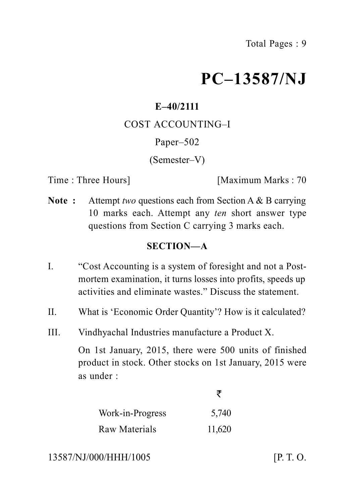# **PC–13587/NJ**

# **E–40/2111**

COST ACCOUNTING–I

Paper–502

(Semester–V)

Time : Three Hours **I** [Maximum Marks : 70]

**Note :** Attempt *two* questions each from Section A & B carrying 10 marks each. Attempt any *ten* short answer type questions from Section C carrying 3 marks each.

# **SECTION—A**

- I. "Cost Accounting is a system of foresight and not a Postmortem examination, it turns losses into profits, speeds up activities and eliminate wastes." Discuss the statement.
- II. What is 'Economic Order Quantity'? How is it calculated?
- III. Vindhyachal Industries manufacture a Product X.

On 1st January, 2015, there were 500 units of finished product in stock. Other stocks on 1st January, 2015 were as under :

| Work-in-Progress | 5,740  |  |
|------------------|--------|--|
| Raw Materials    | 11,620 |  |

13587/NJ/000/HHH/1005 [P. T. O.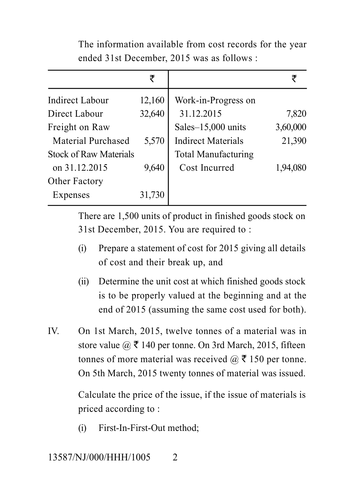| The information available from cost records for the year |  |
|----------------------------------------------------------|--|
| ended 31st December, 2015 was as follows :               |  |

|                               | ₹      |                            | ₹        |
|-------------------------------|--------|----------------------------|----------|
| <b>Indirect Labour</b>        | 12,160 | Work-in-Progress on        |          |
| Direct Labour                 | 32,640 | 31.12.2015                 | 7,820    |
| Freight on Raw                |        | Sales-15,000 units         | 3,60,000 |
| <b>Material Purchased</b>     | 5,570  | <b>Indirect Materials</b>  | 21,390   |
| <b>Stock of Raw Materials</b> |        | <b>Total Manufacturing</b> |          |
| on 31.12.2015                 | 9,640  | Cost Incurred              | 1,94,080 |
| Other Factory                 |        |                            |          |
| Expenses                      | 31,730 |                            |          |
|                               |        |                            |          |

There are 1,500 units of product in finished goods stock on 31st December, 2015. You are required to :

- (i) Prepare a statement of cost for 2015 giving all details of cost and their break up, and
- (ii) Determine the unit cost at which finished goods stock is to be properly valued at the beginning and at the end of 2015 (assuming the same cost used for both).
- IV. On 1st March, 2015, twelve tonnes of a material was in store value  $\omega \bar{\tau}$  140 per tonne. On 3rd March, 2015, fifteen tonnes of more material was received  $\omega \bar{\tau}$  150 per tonne. On 5th March, 2015 twenty tonnes of material was issued.

Calculate the price of the issue, if the issue of materials is priced according to :

(i) First-In-First-Out method;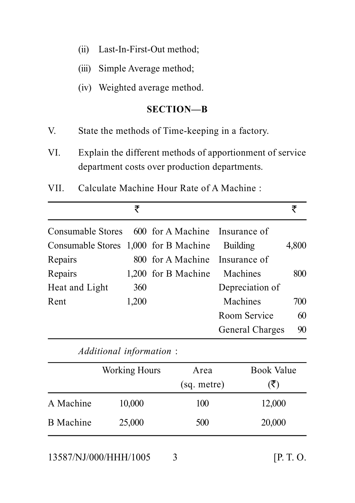- (ii) Last-In-First-Out method;
- (iii) Simple Average method;
- (iv) Weighted average method.

#### **SECTION—B**

- V. State the methods of Time-keeping in a factory.
- VI. Explain the different methods of apportionment of service department costs over production departments.
- VII. Calculate Machine Hour Rate of A Machine :

| Consumable Stores 600 for A Machine Insurance of         |       |
|----------------------------------------------------------|-------|
|                                                          |       |
| Consumable Stores 1,000 for B Machine<br><b>Building</b> | 4,800 |
| 800 for A Machine Insurance of<br>Repairs                |       |
| 1,200 for B Machine<br>Repairs<br>Machines               | 800   |
| Depreciation of<br>Heat and Light<br>360                 |       |
| Machines<br>1,200<br>Rent                                | 700   |
| Room Service                                             | 60    |
| General Charges                                          | 90    |

*Additional information* : Working Hours Area Book Value  $(sq.$  metre)  $(\overline{\zeta})$ A Machine 10,000 100 12,000 B Machine 25,000 500 20,000

13587/NJ/000/HHH/1005 3 [P. T. O.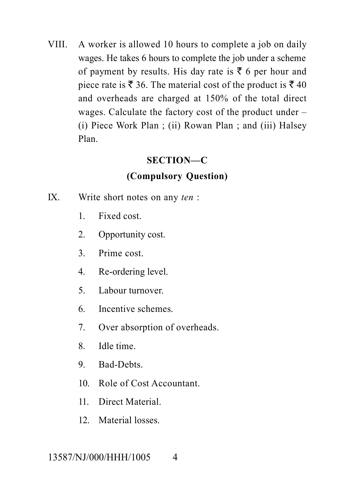VIII. A worker is allowed 10 hours to complete a job on daily wages. He takes 6 hours to complete the job under a scheme of payment by results. His day rate is  $\bar{\tau}$  6 per hour and piece rate is  $\bar{\xi}$  36. The material cost of the product is  $\bar{\xi}$  40 and overheads are charged at 150% of the total direct wages. Calculate the factory cost of the product under – (i) Piece Work Plan ; (ii) Rowan Plan ; and (iii) Halsey Plan.

# **SECTION—C**

# **(Compulsory Question)**

- IX. Write short notes on any *ten* :
	- 1. Fixed cost.
	- 2. Opportunity cost.
	- 3. Prime cost.
	- 4. Re-ordering level.
	- 5. Labour turnover.
	- 6. Incentive schemes.
	- 7. Over absorption of overheads.
	- 8. Idle time.
	- 9. Bad-Debts.
	- 10. Role of Cost Accountant.
	- 11. Direct Material.
	- 12. Material losses.

# 13587/NJ/000/HHH/1005 4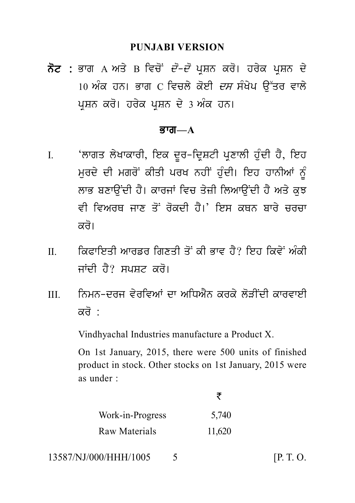#### **PUNJABI VERSION**

PUNJABI VERSION<br>ਨੋਟ : ਭਾਗ A ਅਤੇ B ਵਿਚੋਂ *ਦੋ–ਦੋ* ਪ੍ਰਸ਼ਨ ਕਰੋ। ਹਰੇਕ ਪ੍ਰਸ਼ਨ ਦੇ<br>10 ਅੰਕ ਹਨ। ਭਾਗ C ਵਿਚਲੇ ਕੋਈ *ਦਸ* ਸੰਖੇਪ ਉੱਤਰ ਵਾਲੇ<br>ਮੁਸ਼ਨ ਕਰੋ। ਹਰੇਕ ਮੁਸ਼ਨ ਦੇ 3 ਅੰਕ ਹਨ। PUNJABI VERSION<br>ਭਾਗ A ਅਤੇ B ਵਿਚੋਂ *ਦੋ–ਦੋ* ਪ੍ਰਸ਼ਨ ਕਰੋ। ਹਰੇਕ ਪ੍ਰਸ਼ਨ ਦੇ<br>10 ਅੰਕ ਹਨ। ਭਾਗ C ਵਿਚਲੇ ਕੋਈ *ਦਸ* ਸੰਖੇਪ ਉੱਤਰ ਵਾਲੇ<br>ਪ੍ਰਸ਼ਨ ਕਰੋ। ਹਰੇਕ ਪ੍ਰਸ਼ਨ ਦੇ 3 ਅੰਕ ਹਨ। ਨੋਟ : ਭਾਗ A ਅਤੇ B ਵਿਚੋਂ *ਦੋ–ਦੋ* ਪ੍ਰਸ਼ਨ ਕਰੋ। ਹਰੇਕ ਪ੍ਰਸ਼ਨ ਦੇ<br>10 ਅੰਕ ਹਨ। ਭਾਗ C ਵਿਚਲੇ ਕੋਈ *ਦਸ* ਸੰਖੇਪ ਉੱਤਰ ਵਾਲੇ<br>ਪਸ਼ਨ ਕਰੋ। ਹਰੇਕ ਪਸ਼ਨ ਦੇ 3 ਅੰਕ ਹਨ।

#### <u>ਭਾਗ—A</u>

- ਪ੍ਰਸ਼ਨ ਕਰਂ। ਹਰੇਕ ਪ੍ਰਸ਼ਨ ਦੇ 3 ਅੰਕ ਹਨ।<br>ਭਾਗ—A<br>I. 'ਲਾਗਤ ਲੇਖਾਕਾਰੀ, ਇਕ ਦੂਰ–ਦ੍ਰਿਸ਼ਟੀ ਪ੍ਰਣਾਲੀ ਹੁੰਦੀ ਹੈ, ਇਹ<br>ਮੁਰਦੇ ਦੀ ਮਗਰੋਂ ਕੀਤੀ ਪਰਖ ਨਹੀਂ ਹੁੰਦੀ। ਇਹ ਹਾਨੀਆਂ ਨੂੰ<br>ਲਾਕ ਬਣਾਉਂਦੀ ਹੈ। ਕਾਰਜ਼ਾਂ ਵਿਚ ਤੇਜ਼ੀ ਲਿਆਉਂਦੀ ਹੈ ਅਤੇ ਕੁਝ **ਭਾਗ—A<br>'**ਲਾਗਤ ਲੇਖਾਕਾਰੀ, ਇਕ ਦੂਰ–ਦ੍ਰਿਸ਼ਟੀ ਪ੍ਰਣਾਲੀ ਹੁੰਦੀ ਹੈ, ਇਹ<br>ਮੁਰਦੇ ਦੀ ਮਗਰੋਂ ਕੀਤੀ ਪਰਖ ਨਹੀਂ ਹੁੰਦੀ। ਇਹ ਹਾਨੀਆਂ ਨੂੰ<br>ਲਾਭ ਬਣਾਉਂਦੀ ਹੈ। ਕਾਰਜਾਂ ਵਿਚ ਤੇਜ਼ੀ ਲਿਆਉਂਦੀ ਹੈ ਅਤੇ ਕੁਝ<br>ਵੀ ਵਿਅਰਥ ਜਾਣ ਤੋਂ ਰੋਕਦੀ ਹੈ।' ਇਸ ਕਸਨ ਬਾਰੇ ਜਰਜ਼ਾ 'ਲਾਗਤ ਲੇਖਾਕਾਰੀ, ਇਕ ਦੂਰ–ਦ੍ਰਿਸ਼ਟੀ ਪ੍ਰਣਾਲੀ ਹੁੰਦੀ ਹੈ, ਇਹ<br>ਮੁਰਦੇ ਦੀ ਮਗਰੋਂ ਕੀਤੀ ਪਰਖ ਨਹੀਂ ਹੁੰਦੀ। ਇਹ ਹਾਨੀਆਂ ਨੂੰ<br>ਲਾਭ ਬਣਾਉਂਦੀ ਹੈ। ਕਾਰਜਾਂ ਵਿਚ ਤੇਜ਼ੀ ਲਿਆਉਂਦੀ ਹੈ ਅਤੇ ਕੁਝ<br>ਵੀ ਵਿਅਰਥ ਜਾਣ ਤੋਂ ਰੋਕਦੀ ਹੈ।' ਇਸ ਕਥਨ ਬਾਰੇ ਚਰਚਾ ਲਾਗਤ ਲਥਾਕਾਰਾ, ਇਕ ਦੂਰ-।ਦ੍ਰਸ਼ਟ। ਪ੍ਰਣਾਲਾ ਹੁੰਦਾ ਹ, ਇਹ<br>ਮੁਰਦੇ ਦੀ ਮਗਰੋਂ ਕੀਤੀ ਪਰਖ ਨਹੀਂ ਹੁੰਦੀ। ਇਹ ਹਾਨੀਆਂ ਨੂੰ<br>ਲਾਭ ਬਣਾਉਂਦੀ ਹੈ। ਕਾਰਜਾਂ ਵਿਚ ਤੇਜ਼ੀ ਲਿਆਉਂਦੀ ਹੈ ਅਤੇ ਕੁਝ<br>ਵੀ ਵਿਅਰਥ ਜਾਣ ਤੋਂ ਰੋਕਦੀ ਹੈ।' ਇਸ ਕਥਨ ਬਾਰੇ ਚਰਚਾ<br>ਕਰੋ। ਲਾਭ ਬਣਾਉਂਦੀ ਹੈ। ਕਾਰਜਾਂ ਵਿਚ ਤੇਜ਼ੀ ਲਿਆਉਂਦੀ ਹੈ ਅਤੇ ਕੁਝ<br>ਵੀ ਵਿਅਰਥ ਜਾਣ ਤੋਂ ਰੋਕਦੀ ਹੈ।' ਇਸ ਕਥਨ ਬਾਰੇ ਚਰਚਾ<br>ਕਰੋ।<br>ਕਿਫਾਇਤੀ ਆਰਡਰ ਗਿਣਤੀ ਤੋਂ ਕੀ ਭਾਵ ਹੈ? ਇਹ ਕਿਵੇਂ ਅੰਕੀ<br>ਜਾਂਦੀ ਹੈ? ਸਪਸਟ ਕਰੋ। ਵੀ ਵਿਅਰਥ ਜਾਣ ਤੋਂ ਰੋਕਦੀ ਹੈ।' ਇਸ ਕਥਨ ਬਾਰੇ ਚਰਚਾ<br>ਕਰੋ।<br>II. ਕਿਫਾਇਤੀ ਆਰਡਰ ਗਿਣਤੀ ਤੋਂ ਕੀ ਭਾਵ ਹੈ? ਇਹ ਕਿਵੇਂ ਅੰਕੀ<br>ਜਾਂਦੀ ਹੈ? ਸਪਸ਼ਟ ਕਰੋ।
- ਕਰੋ।<br>ਕਿਫਾਇਤੀ ਆਰਡਰ ਗਿਣਤੀ ਤੋਂ ਕੀ ਭਾਵ ਹੈ? ਇ<br>ਜਾਂਦੀ ਹੈ? ਸਪਸ਼ਟ ਕਰੋ।<br>ਨਿਮਨ-ਦਰਜ ਵੇਰਵਿਆਂ ਦਾ ਅਧਿਐਨ ਕਰਕੇ ਲੋੜੀ III. inmn-drj v yrivAW dw AiDA Yn krk y l oVINdI kwrvweI
- ਜਾਂਦੀ ਹੈ? ਸਪਸ਼ਟ ਕਰੋ।<br>ਨਿਮਨ-ਦਰਜ ਵੇਰਵਿਆਂ ਦਾ ਪ<br>ਕਰੋ :<br>Vindhyachal Industries ma

Vindhyachal Industries manufacture a Product X.

On 1st January, 2015, there were 500 units of finished product in stock. Other stocks on 1st January, 2015 were as under :

र क

| Work-in-Progress | 5,740  |
|------------------|--------|
| Raw Materials    | 11,620 |

13587/NJ/000/HHH/1005 5 [P. T. O.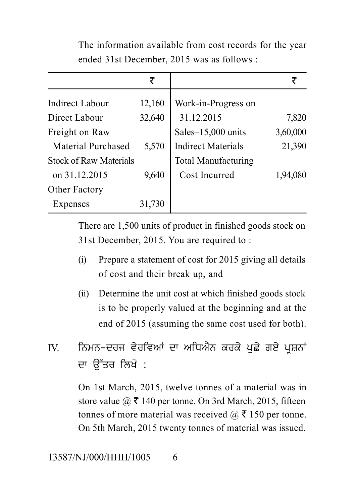|                               | ₹      |                            | ₹        |
|-------------------------------|--------|----------------------------|----------|
| <b>Indirect Labour</b>        | 12,160 | Work-in-Progress on        |          |
| Direct Labour                 | 32,640 | 31.12.2015                 | 7,820    |
| Freight on Raw                |        | Sales-15,000 units         | 3,60,000 |
| <b>Material Purchased</b>     | 5,570  | <b>Indirect Materials</b>  | 21,390   |
| <b>Stock of Raw Materials</b> |        | <b>Total Manufacturing</b> |          |
| on 31.12.2015                 | 9,640  | Cost Incurred              | 1,94,080 |
| Other Factory                 |        |                            |          |
| Expenses                      | 31,730 |                            |          |
|                               |        |                            |          |

The information available from cost records for the year ended 31st December, 2015 was as follows :

There are 1,500 units of product in finished goods stock on 31st December, 2015. You are required to :

- (i) Prepare a statement of cost for 2015 giving all details of cost and their break up, and
- (ii) Determine the unit cost at which finished goods stock is to be properly valued at the beginning and at the end of 2015 (assuming the same cost used for both). (II) Determine the time cost at which finished goods stock<br>is to be properly valued at the beginning and at the<br>end of 2015 (assuming the same cost used for both).<br>IV. ਨਿਮਨ-ਦਰਜ ਵੇਰਵਿਆਂ ਦਾ ਅਧਿਐਨ ਕਰਕੇ ਪੁਛੇ ਗਏ ਪ੍ਰਸ਼ਨਾਂ<br>ਦਾ ਉੱ
- ਨਿਮਨ-ਦਰਜ ਵੇਰਵਿਆਂ ਦਾ ਅਧਿਐਨ ਕਰਕੇ ਪੁਛੇ ਗਏ ਪ੍ਰਸ਼ਨਾਂ<br>ਦਾ ੳੱਤਰ ਲਿਖੋ :

On 1st March, 2015, twelve tonnes of a material was in store value  $\omega \bar{\tau}$  140 per tonne. On 3rd March, 2015, fifteen tonnes of more material was received  $\omega \bar{\tau}$  150 per tonne. On 5th March, 2015 twenty tonnes of material was issued.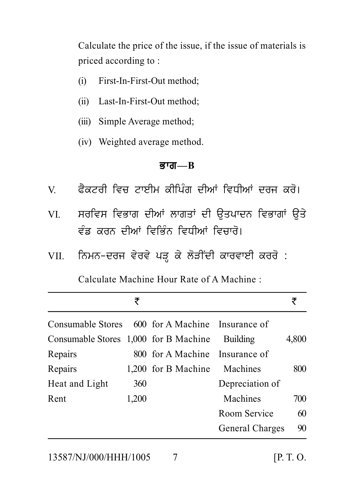Calculate the price of the issue, if the issue of materials is priced according to :

- (i) First-In-First-Out method;
- (ii) Last-In-First-Out method;
- (iii) Simple Average method;
- (iv) Weighted average method.

### <u>ਭਾਗ—B</u>

- 
- (iv) Weighted average method.<br> **ਭਾਗ—B**<br>V. ਫੈਕਟਰੀ ਵਿਚ ਟਾਈਮ ਕੀਪਿੰਗ ਦੀਆਂ ਵਿਧੀਆਂ ਦਰਜ ਕਰੋ।<br>VI. ਸਰਵਿਸ ਵਿਭਾਗ ਦੀਆਂ ਲਾਗਤਾਂ ਦੀ ਉਤਪਾਦਨ ਵਿਭਾਗਾਂ ਉਤੇ ਭਾਗ—B<br>V. ਫੈਕਟਰੀ ਵਿਚ ਟਾਈਮ ਕੀਪਿੰਗ ਦੀਆਂ ਵਿਧੀਆਂ ਦਰਜ ਕਰੋ।<br>VI. ਸਰਵਿਸ ਵਿਭਾਗ ਦੀਆਂ ਲਾਗਤਾਂ ਦੀ ਉਤਪਾਦਨ ਵਿਭਾਗਾਂ ਉਤੇ<br>ਵੰਡ ਕਰਨ ਦੀਆਂ ਵਿਭਿੰਨ ਵਿਧੀਆਂ ਵਿਚਾਰੋ। ਫੈਕਟਰੀ ਵਿਚ ਟਾਈਮ ਕੀਪਿੰਗ ਦੀਆਂ ਵਿਧੀਆਂ ਦਰਜ ਕਰੋ।<br>ਸਰਵਿਸ ਵਿਭਾਗ ਦੀਆਂ ਲਾਗਤਾਂ ਦੀ ਉਤਪਾਦਨ ਵਿਭਾਗਾਂ ਉਤੇ<br>ਵੰਡ ਕਰਨ ਦੀਆਂ ਵਿਭਿੰਨ ਵਿਧੀਆਂ ਵਿਚਾਰੋ।<br>ਨਿਮਨ-ਦਰਜ ਵੇਰਵੇ ਪੜ ਕੇ ਲੋੜੀਂਦੀ ਕਾਰਵਾਈ ਕਰਰੋ : VI. ਸਰਵਿਸ ਵਿਭਾਗ ਦੀਆਂ ਲਾਗਤਾਂ ਦੀ ਉਤਪਾਦਨ ਵਿਭਾਗਾਂ ਉਤੇ<br>ਵੰਡ ਕਰਨ ਦੀਆਂ ਵਿਭਿੰਨ ਵਿਧੀਆਂ ਵਿਚਾਰੋ।<br>VII. ਨਿਮਨ-ਦਰਜ ਵੇਰਵੇ ਪੜ੍ਹ ਕੇ ਲੋੜੀਂਦੀ ਕਾਰਵਾਈ ਕਰਰੋ :<br>Calculate Machine Hour Rate of A Machine :
- 

Calculate Machine Hour Rate of A Machine :

|                                                  | ₹     |                                |                 | ₹     |
|--------------------------------------------------|-------|--------------------------------|-----------------|-------|
| Consumable Stores 600 for A Machine Insurance of |       |                                |                 |       |
| Consumable Stores 1,000 for B Machine            |       |                                | <b>Building</b> | 4,800 |
| Repairs                                          |       | 800 for A Machine Insurance of |                 |       |
| Repairs                                          |       | 1,200 for B Machine            | Machines        | 800   |
| Heat and Light                                   | 360   |                                | Depreciation of |       |
| Rent                                             | 1,200 |                                | Machines        | 700   |
|                                                  |       |                                | Room Service    | 60    |
|                                                  |       |                                | General Charges | 90    |
|                                                  |       |                                |                 |       |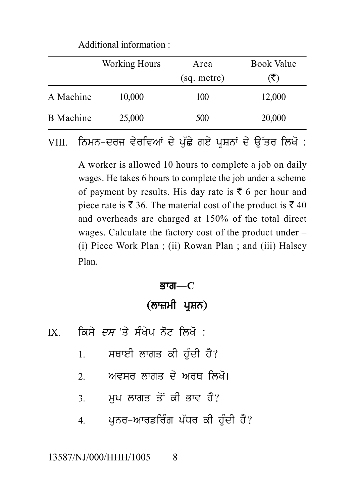Additional information :

|                  | <b>Working Hours</b>                                                                                                  | Area        | <b>Book Value</b> |
|------------------|-----------------------------------------------------------------------------------------------------------------------|-------------|-------------------|
|                  |                                                                                                                       | (sq. metre) |                   |
| A Machine        | 10,000                                                                                                                | 100         | 12,000            |
| <b>B</b> Machine | 25,000                                                                                                                | 500         | 20,000            |
| VIII.            | ਨਿਮਨ-ਦਰਜ ਵੇਰਵਿਆਂ ਦੇ ਪੱਛੇ ਗਏ ਪੁਸ਼ਨਾਂ ਦੇ ਉੱਤਰ ਲਿਖੋ :                                                                    |             |                   |
|                  | A worker is allowed 10 hours to complete a job on daily<br>wages, Ho takes 6 hours to complete the job under a schome |             |                   |

A worker is allowed 10 hours to complete a job on daily wages. He takes 6 hours to complete the job under a scheme of payment by results. His day rate is  $\bar{\tau}$  6 per hour and piece rate is  $\bar{\xi}$  36. The material cost of the product is  $\bar{\xi}$  40 and overheads are charged at 150% of the total direct wages. Calculate the factory cost of the product under – (i) Piece Work Plan ; (ii) Rowan Plan ; and (iii) Halsey Plan. ਭਾਗ—C<br>(ਲਾਜ਼ਮੀ ਪ੍ਰਸ਼ਨ)<br>ਪਿਨੋਟ ਲਿਖੋ :

#### <u>ਭਾਗ—C</u>

- ਭਾਗ—C<br>(ਲਾਜ਼ਮੀ ਪ੍ਰਸ਼ਨ)<br>IX. ਕਿਸੇ *ਦਸ* 'ਤੇ ਸੰਖੇਪ ਨੋਟ ਲਿਖੋ :<br>1. ਸਥਾਈ ਲਾਗਤ ਕੀ ਹੁੰਦੀ ਹੈ?
	-
	- (ਲਾਜ਼ਮੀ ਪ੍ਰਸ਼ਨ)<br>ਕਿਸੇ *ਦਸ* 'ਤੇ ਸੰਖੇਪ ਨੋਟ ਲਿਖੋ :<br>1. ਸਥਾਈ ਲਾਗਤ ਕੀ ਹੁੰਦੀ ਹੈ?<br>2. ਅਵਸਰ ਲਾਗਤ ਦੇ ਅਰਥ ਲਿਖੋ। ਕਿਸੇ *ਦਸ* 'ਤੇ ਸੰਖੇਪ ਨੋਟ ਲਿਖੋ :<br>1. ਸਥਾਈ ਲਾਗਤ ਕੀ ਹੁੰਦੀ ਹੈ?<br>2. ਅਵਸਰ ਲਾਗਤ ਦੇ ਅਰਥ ਲਿਖੋ।<br>3. ਮੁਖ ਲਾਗਤ ਤੋਂ ਕੀ ਭਾਵ ਹੈ?
	-
	- 1. ਸਥਾਈ ਲਾਗਤ ਕੀ ਹੁੰਦੀ ਹੈ?<br>2. ਅਵਸਰ ਲਾਗਤ ਦੇ ਅਰਥ ਲਿਖੋ।<br>3. ਮੁਖ ਲਾਗਤ ਤੋਂ ਕੀ ਭਾਵ ਹੈ?<br>4. ਪੁਨਰ–ਆਰਡਰਿੰਗ ਪੱਧਰ ਕੀ ਹੁੰਦੀ ਹੈ? 4. p unr-Awrfir Mg p `Dr kI h u MdI h Y?

#### 13587/NJ/000/HHH/1005 8